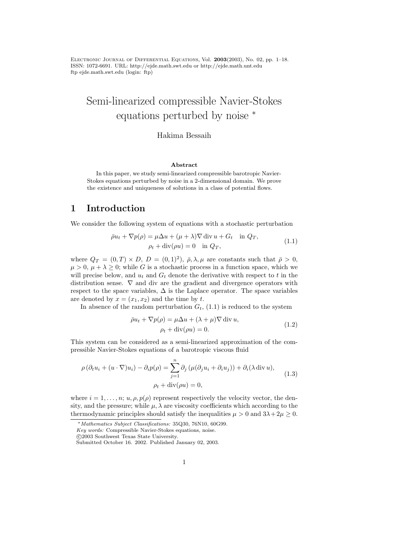ELECTRONIC JOURNAL OF DIFFERENTIAL EQUATIONS, Vol.  $2003(2003)$ , No. 02, pp. 1–18. ISSN: 1072-6691. URL: http://ejde.math.swt.edu or http://ejde.math.unt.edu ftp ejde.math.swt.edu (login: ftp)

# Semi-linearized compressible Navier-Stokes equations perturbed by noise <sup>∗</sup>

#### Hakima Bessaih

#### Abstract

In this paper, we study semi-linearized compressible barotropic Navier-Stokes equations perturbed by noise in a 2-dimensional domain. We prove the existence and uniqueness of solutions in a class of potential flows.

# 1 Introduction

We consider the following system of equations with a stochastic perturbation

$$
\bar{\rho}u_t + \nabla p(\rho) = \mu \Delta u + (\mu + \lambda) \nabla \operatorname{div} u + G_t \quad \text{in } Q_T,
$$
  
\n
$$
\rho_t + \operatorname{div}(\rho u) = 0 \quad \text{in } Q_T,
$$
\n(1.1)

where  $Q_T = (0,T) \times D$ ,  $D = (0,1)^2$ ,  $\bar{\rho}, \lambda, \mu$  are constants such that  $\bar{\rho} > 0$ ,  $\mu > 0$ ,  $\mu + \lambda \geq 0$ ; while G is a stochastic process in a function space, which we will precise below, and  $u_t$  and  $G_t$  denote the derivative with respect to t in the distribution sense.  $\nabla$  and div are the gradient and divergence operators with respect to the space variables,  $\Delta$  is the Laplace operator. The space variables are denoted by  $x = (x_1, x_2)$  and the time by t.

In absence of the random perturbation  $G_t$ , (1.1) is reduced to the system

$$
\bar{\rho}u_t + \nabla p(\rho) = \mu \Delta u + (\lambda + \mu) \nabla \operatorname{div} u,
$$
  
\n
$$
\rho_t + \operatorname{div}(\rho u) = 0.
$$
\n(1.2)

This system can be considered as a semi-linearized approximation of the compressible Navier-Stokes equations of a barotropic viscous fluid

$$
\rho \left(\partial_t u_i + (u \cdot \nabla) u_i\right) - \partial_i p(\rho) = \sum_{j=1}^n \partial_j \left(\mu(\partial_j u_i + \partial_i u_j)\right) + \partial_i(\lambda \operatorname{div} u),
$$
  

$$
\rho_t + \operatorname{div}(\rho u) = 0,
$$
 (1.3)

where  $i = 1, \ldots, n; u, \rho, p(\rho)$  represent respectively the velocity vector, the density, and the pressure; while  $\mu$ ,  $\lambda$  are viscosity coefficients which according to the thermodynamic principles should satisfy the inequalities  $\mu > 0$  and  $3\lambda + 2\mu \geq 0$ .

<sup>∗</sup>Mathematics Subject Classifications: 35Q30, 76N10, 60G99.

Key words: Compressible Navier-Stokes equations, noise.

c 2003 Southwest Texas State University.

Submitted October 16. 2002. Published January 02, 2003.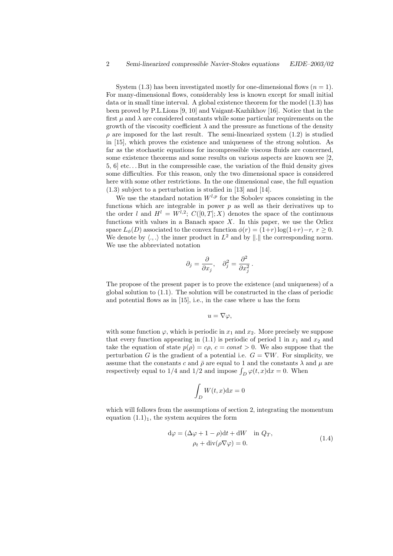System  $(1.3)$  has been investigated mostly for one-dimensional flows  $(n = 1)$ . For many-dimensional flows, considerably less is known except for small initial data or in small time interval. A global existence theorem for the model (1.3) has been proved by P.L.Lions [9, 10] and Vaigant-Kazhikhov [16]. Notice that in the first  $\mu$  and  $\lambda$  are considered constants while some particular requirements on the growth of the viscosity coefficient  $\lambda$  and the pressure as functions of the density  $\rho$  are imposed for the last result. The semi-linearized system  $(1.2)$  is studied in [15], which proves the existence and uniqueness of the strong solution. As far as the stochastic equations for incompressible viscous fluids are concerned, some existence theorems and some results on various aspects are known see [2,  $5, 6$  etc... But in the compressible case, the variation of the fluid density gives some difficulties. For this reason, only the two dimensional space is considered here with some other restrictions. In the one dimensional case, the full equation (1.3) subject to a perturbation is studied in [13] and [14].

We use the standard notation  $W^{l,p}$  for the Sobolev spaces consisting in the functions which are integrable in power  $p$  as well as their derivatives up to the order l and  $H^l = W^{l,2}$ ;  $C([0,T];X)$  denotes the space of the continuous functions with values in a Banach space  $X$ . In this paper, we use the Orlicz space  $L_{\phi}(D)$  associated to the convex function  $\phi(r) = (1+r) \log(1+r) - r$ ,  $r > 0$ . We denote by  $\langle ., . \rangle$  the inner product in  $L^2$  and by  $\| . \|$  the corresponding norm. We use the abbreviated notation

$$
\partial_j = \frac{\partial}{\partial x_j}, \quad \partial_j^2 = \frac{\partial^2}{\partial x_j^2}.
$$

The propose of the present paper is to prove the existence (and uniqueness) of a global solution to (1.1). The solution will be constructed in the class of periodic and potential flows as in  $[15]$ , i.e., in the case where u has the form

$$
u=\nabla\varphi,
$$

with some function  $\varphi$ , which is periodic in  $x_1$  and  $x_2$ . More precisely we suppose that every function appearing in  $(1.1)$  is periodic of period 1 in  $x_1$  and  $x_2$  and take the equation of state  $p(\rho) = c\rho$ ,  $c = const > 0$ . We also suppose that the perturbation G is the gradient of a potential i.e.  $G = \nabla W$ . For simplicity, we assume that the constants c and  $\bar{\rho}$  are equal to 1 and the constants  $\lambda$  and  $\mu$  are respectively equal to  $1/4$  and  $1/2$  and impose  $\int_D \varphi(t, x) dx = 0$ . When

$$
\int_D W(t, x) \mathrm{d}x = 0
$$

which will follows from the assumptions of section 2, integrating the momentum equation  $(1.1)<sub>1</sub>$ , the system acquires the form

$$
d\varphi = (\Delta \varphi + 1 - \rho)dt + dW \quad \text{in } Q_T,
$$
  
\n
$$
\rho_t + \text{div}(\rho \nabla \varphi) = 0.
$$
\n(1.4)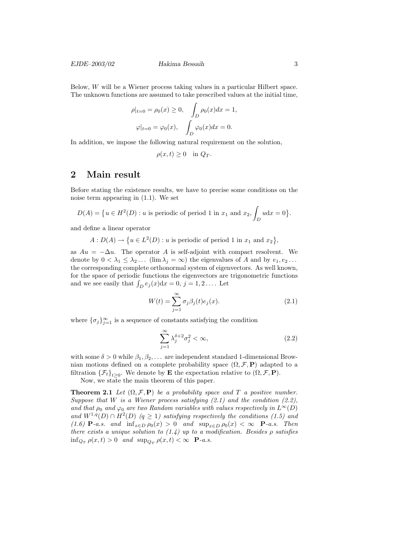Below, W will be a Wiener process taking values in a particular Hilbert space. The unknown functions are assumed to take prescribed values at the initial time,

$$
\rho|_{t=0} = \rho_0(x) \ge 0, \quad \int_D \rho_0(x) dx = 1,
$$
  

$$
\varphi|_{t=0} = \varphi_0(x), \quad \int_D \varphi_0(x) dx = 0.
$$

In addition, we impose the following natural requirement on the solution,

$$
\rho(x,t) \ge 0 \quad \text{in } Q_T.
$$

# 2 Main result

Before stating the existence results, we have to precise some conditions on the noise term appearing in (1.1). We set

$$
D(A) = \{ u \in H^2(D) : u \text{ is periodic of period 1 in } x_1 \text{ and } x_2, \int_D u \, dx = 0 \}.
$$

and define a linear operator

$$
A: D(A) \to \{u \in L^2(D) : u \text{ is periodic of period 1 in } x_1 \text{ and } x_2\},\
$$

as  $Au = -\Delta u$ . The operator A is self-adjoint with compact resolvent. We denote by  $0 < \lambda_1 \leq \lambda_2 \ldots$  (lim  $\lambda_j = \infty$ ) the eigenvalues of A and by  $e_1, e_2 \ldots$ the corresponding complete orthonormal system of eigenvectors. As well known, for the space of periodic functions the eigenvectors are trigonometric functions and we see easily that  $\int_D e_j(x)dx = 0, j = 1, 2...$  Let

$$
W(t) = \sum_{j=1}^{\infty} \sigma_j \beta_j(t) e_j(x).
$$
 (2.1)

where  $\{\sigma_j\}_{j=1}^{\infty}$  is a sequence of constants satisfying the condition

$$
\sum_{j=1}^{\infty} \lambda_j^{\delta+2} \sigma_j^2 < \infty,\tag{2.2}
$$

with some  $\delta > 0$  while  $\beta_1, \beta_2, \ldots$  are independent standard 1-dimensional Brownian motions defined on a complete probability space  $(\Omega, \mathcal{F}, P)$  adapted to a filtration  $\{\mathcal{F}_t\}_{t\geq 0}$ . We denote by **E** the expectation relative to  $(\Omega, \mathcal{F}, \mathbf{P})$ .

Now, we state the main theorem of this paper.

**Theorem 2.1** Let  $(\Omega, \mathcal{F}, P)$  be a probability space and T a positive number. Suppose that W is a Wiener process satisfying  $(2.1)$  and the condition  $(2.2)$ , and that  $\rho_0$  and  $\varphi_0$  are two Random variables with values respectively in  $L^{\infty}(D)$ and  $W^{1,q}(D) \cap H^2(D)$   $(q \ge 1)$  satisfying respectively the conditions (1.5) and (1.6) **P**-a.s. and  $\inf_{x \in D} \rho_0(x) > 0$  and  $\sup_{x \in D} \rho_0(x) < \infty$  **P**-a.s. Then there exists a unique solution to  $(1.4)$  up to a modification. Besides  $\rho$  satisfies  $\inf_{Q_T} \rho(x,t) > 0$  and  $\sup_{Q_T} \rho(x,t) < \infty$  **P**-a.s.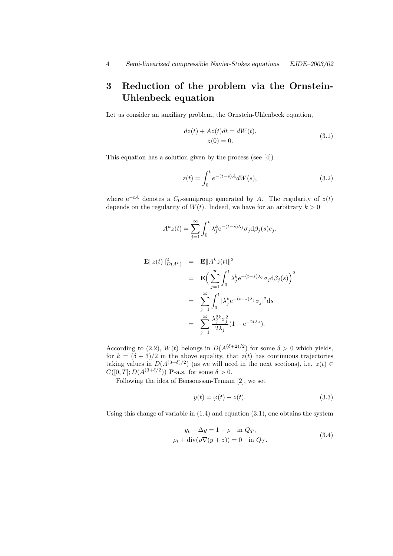# 3 Reduction of the problem via the Ornstein-Uhlenbeck equation

Let us consider an auxiliary problem, the Ornstein-Uhlenbeck equation,

$$
dz(t) + Az(t)dt = dW(t),
$$
  
\n
$$
z(0) = 0.
$$
\n(3.1)

This equation has a solution given by the process (see [4])

$$
z(t) = \int_0^t e^{-(t-s)A} dW(s),
$$
\n(3.2)

where  $e^{-tA}$  denotes a  $C_0$ -semigroup generated by A. The regularity of  $z(t)$ depends on the regularity of  $W(t)$ . Indeed, we have for an arbitrary  $k > 0$ 

$$
A^{k}z(t) = \sum_{j=1}^{\infty} \int_{0}^{t} \lambda_{j}^{k} e^{-(t-s)\lambda_{j}} \sigma_{j} d\beta_{j}(s) e_{j}.
$$

$$
\mathbf{E}||z(t)||_{D(A^k)}^2 = \mathbf{E}||A^k z(t)||^2
$$
  
\n
$$
= \mathbf{E} \Big( \sum_{j=1}^{\infty} \int_0^t \lambda_j^k e^{-(t-s)\lambda_j} \sigma_j d\beta_j(s) \Big)^2
$$
  
\n
$$
= \sum_{j=1}^{\infty} \int_0^t |\lambda_j^k e^{-(t-s)\lambda_j} \sigma_j|^2 ds
$$
  
\n
$$
= \sum_{j=1}^{\infty} \frac{\lambda_j^{2k} \sigma_j^2}{2\lambda_j} (1 - e^{-2t\lambda_j}).
$$

According to (2.2),  $W(t)$  belongs in  $D(A^{(\delta+2)/2})$  for some  $\delta > 0$  which yields, for  $k = (\delta + 3)/2$  in the above equality, that  $z(t)$  has continuous trajectories taking values in  $D(A^{(3+\delta)/2})$  (as we will need in the next sections), i.e.  $z(t) \in$  $C([0,T];D(A^{(3+\delta/2}))$  **P**-a.s. for some  $\delta > 0$ .

Following the idea of Bensoussan-Temam [2], we set

$$
y(t) = \varphi(t) - z(t). \tag{3.3}
$$

Using this change of variable in  $(1.4)$  and equation  $(3.1)$ , one obtains the system

$$
y_t - \Delta y = 1 - \rho \quad \text{in } Q_T,
$$
  
\n
$$
\rho_t + \text{div}(\rho \nabla (y+z)) = 0 \quad \text{in } Q_T.
$$
\n(3.4)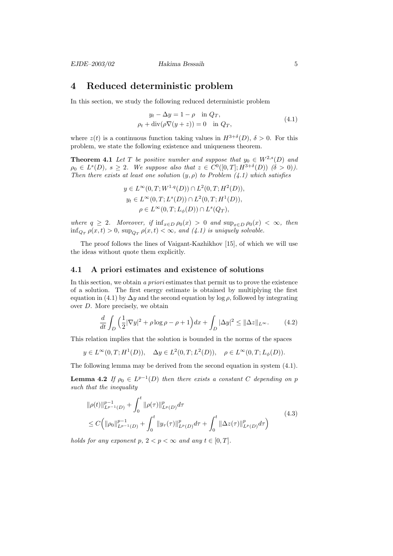# 4 Reduced deterministic problem

In this section, we study the following reduced deterministic problem

$$
y_t - \Delta y = 1 - \rho \quad \text{in } Q_T,
$$
  
\n
$$
\rho_t + \text{div}(\rho \nabla (y + z)) = 0 \quad \text{in } Q_T,
$$
\n(4.1)

where  $z(t)$  is a continuous function taking values in  $H^{3+\delta}(D)$ ,  $\delta > 0$ . For this problem, we state the following existence and uniqueness theorem.

**Theorem 4.1** Let T be positive number and suppose that  $y_0 \in W^{2,s}(D)$  and  $\rho_0 \in L^s(D)$ ,  $s \geq 2$ . We suppose also that  $z \in C^0([0,T]; H^{3+\delta}(D))$   $(\delta > 0)$ . Then there exists at least one solution  $(y, \rho)$  to Problem  $(4.1)$  which satisfies

$$
y \in L^{\infty}(0, T; W^{1,q}(D)) \cap L^{2}(0, T; H^{2}(D)),
$$
  
\n
$$
y_{t} \in L^{\infty}(0, T; L^{s}(D)) \cap L^{2}(0, T; H^{1}(D)),
$$
  
\n
$$
\rho \in L^{\infty}(0, T; L_{\phi}(D)) \cap L^{s}(Q_{T}),
$$

where  $q \ge 2$ . Moreover, if  $\inf_{x \in D} \rho_0(x) > 0$  and  $\sup_{x \in D} \rho_0(x) < \infty$ , then  $\inf_{Q_T} \rho(x,t) > 0$ ,  $\sup_{Q_T} \rho(x,t) < \infty$ , and (4.1) is uniquely solvable.

The proof follows the lines of Vaigant-Kazhikhov [15], of which we will use the ideas without quote them explicitly.

#### 4.1 A priori estimates and existence of solutions

In this section, we obtain a priori estimates that permit us to prove the existence of a solution. The first energy estimate is obtained by multiplying the first equation in (4.1) by  $\Delta y$  and the second equation by log  $\rho$ , followed by integrating over D. More precisely, we obtain

$$
\frac{d}{dt} \int_{D} \left( \frac{1}{2} |\nabla y|^2 + \rho \log \rho - \rho + 1 \right) dx + \int_{D} |\Delta y|^2 \le ||\Delta z||_{L^{\infty}}.\tag{4.2}
$$

This relation implies that the solution is bounded in the norms of the spaces

$$
y\in L^\infty(0,T;H^1(D)),\quad \Delta y\in L^2(0,T;L^2(D)),\quad \rho\in L^\infty(0,T;L_\phi(D)).
$$

The following lemma may be derived from the second equation in system (4.1).

**Lemma 4.2** If  $\rho_0 \in L^{p-1}(D)$  then there exists a constant C depending on p such that the inequality

$$
\|\rho(t)\|_{L^{p-1}(D)}^{p-1} + \int_0^t \|\rho(\tau)\|_{L^p(D)}^p d\tau \n\leq C \left( \|\rho_0\|_{L^{p-1}(D)}^{p-1} + \int_0^t \|y_\tau(\tau)\|_{L^p(D)}^p d\tau + \int_0^t \|\Delta z(\tau)\|_{L^p(D)}^p d\tau \right)
$$
\n(4.3)

holds for any exponent p,  $2 < p < \infty$  and any  $t \in [0, T]$ .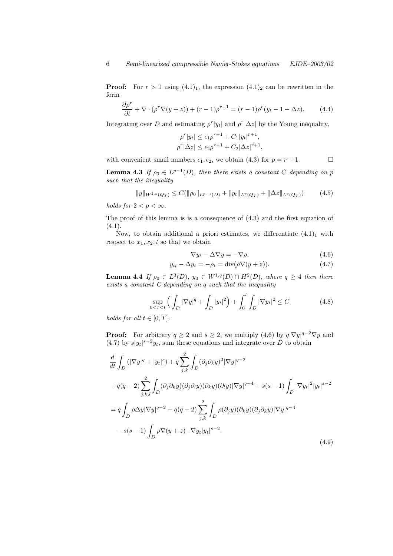**Proof:** For  $r > 1$  using  $(4.1)_1$ , the expression  $(4.1)_2$  can be rewritten in the form

$$
\frac{\partial \rho^r}{\partial t} + \nabla \cdot (\rho^r \nabla (y+z)) + (r-1)\rho^{r+1} = (r-1)\rho^r (y_t - 1 - \Delta z). \tag{4.4}
$$

Integrating over D and estimating  $\rho^r |y_t|$  and  $\rho^r |\Delta z|$  by the Young inequality,

$$
\rho^r |y_t| \le \epsilon_1 \rho^{r+1} + C_1 |y_t|^{r+1},
$$
  

$$
\rho^r |\Delta z| \le \epsilon_2 \rho^{r+1} + C_2 |\Delta z|^{r+1},
$$

with convenient small numbers  $\epsilon_1, \epsilon_2$ , we obtain (4.3) for  $p = r + 1$ .

**Lemma 4.3** If  $\rho_0 \in L^{p-1}(D)$ , then there exists a constant C depending on p such that the inequality

$$
||y||_{W^{2,p}(Q_T)} \leq C(||\rho_0||_{L^{p-1}(D)} + ||y_t||_{L^p(Q_T)} + ||\Delta z||_{L^p(Q_T)}) \tag{4.5}
$$

holds for  $2 < p < \infty$ .

The proof of this lemma is is a consequence of (4.3) and the first equation of  $(4.1).$ 

Now, to obtain additional a priori estimates, we differentiate  $(4.1)<sub>1</sub>$  with respect to  $x_1, x_2, t$  so that we obtain

$$
\nabla y_t - \Delta \nabla y = -\nabla \rho,\tag{4.6}
$$

$$
y_{tt} - \Delta y_t = -\rho_t = \text{div}(\rho \nabla (y+z)).\tag{4.7}
$$

**Lemma 4.4** If  $\rho_0 \in L^3(D)$ ,  $y_0 \in W^{1,q}(D) \cap H^2(D)$ , where  $q \geq 4$  then there exists a constant C depending on q such that the inequality

$$
\sup_{0 < \tau < t} \left( \int_{D} |\nabla y|^q + \int_{D} |y_t|^2 \right) + \int_0^t \int_{D} |\nabla y_t|^2 \le C \tag{4.8}
$$

holds for all  $t \in [0, T]$ .

**Proof:** For arbitrary  $q \ge 2$  and  $s \ge 2$ , we multiply (4.6) by  $q|\nabla y|^{q-2}\nabla y$  and (4.7) by  $s|y_t|^{s-2}y_t$ , sum these equations and integrate over D to obtain

$$
\frac{d}{dt} \int_{D} \left( |\nabla y|^{q} + |y_{t}|^{s} \right) + q \sum_{j,k}^{2} \int_{D} (\partial_{j} \partial_{k} y)^{2} |\nabla y|^{q-2}
$$
\n
$$
+ q(q-2) \sum_{j,k,l}^{2} \int_{D} (\partial_{j} \partial_{k} y) (\partial_{j} \partial_{l} y) (\partial_{k} y) (\partial_{l} y) |\nabla y|^{q-4} + s(s-1) \int_{D} |\nabla y_{t}|^{2} |y_{t}|^{s-2}
$$
\n
$$
= q \int_{D} \rho \Delta y |\nabla y|^{q-2} + q(q-2) \sum_{j,k}^{2} \int_{D} \rho(\partial_{j} y) (\partial_{k} y) (\partial_{j} \partial_{k} y) |\nabla y|^{q-4}
$$
\n
$$
- s(s-1) \int_{D} \rho \nabla (y+z) \cdot \nabla y_{t} |y_{t}|^{s-2}.
$$
\n(4.9)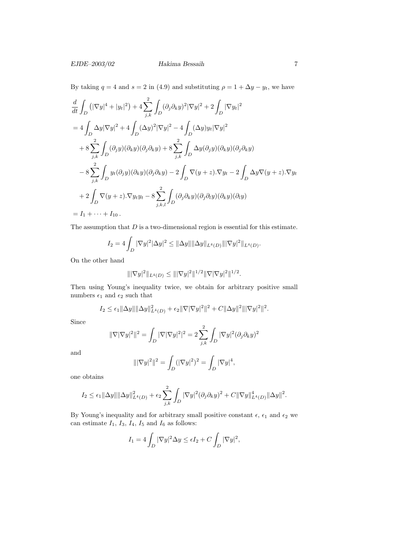### EJDE–2003/02 Hakima Bessaih 7

By taking  $q = 4$  and  $s = 2$  in (4.9) and substituting  $\rho = 1 + \Delta y - y_t$ , we have

$$
\frac{d}{dt} \int_{D} \left( |\nabla y|^{4} + |y_{t}|^{2} \right) + 4 \sum_{j,k}^{2} \int_{D} (\partial_{j} \partial_{k} y)^{2} |\nabla y|^{2} + 2 \int_{D} |\nabla y_{t}|^{2}
$$
\n
$$
= 4 \int_{D} \Delta y |\nabla y|^{2} + 4 \int_{D} (\Delta y)^{2} |\nabla y|^{2} - 4 \int_{D} (\Delta y) y_{t} |\nabla y|^{2}
$$
\n
$$
+ 8 \sum_{j,k}^{2} \int_{D} (\partial_{j} y) (\partial_{k} y) (\partial_{j} \partial_{k} y) + 8 \sum_{j,k}^{2} \int_{D} \Delta y (\partial_{j} y) (\partial_{k} y) (\partial_{j} \partial_{k} y)
$$
\n
$$
- 8 \sum_{j,k}^{2} \int_{D} y_{t} (\partial_{j} y) (\partial_{k} y) (\partial_{j} \partial_{k} y) - 2 \int_{D} \nabla (y + z) . \nabla y_{t} - 2 \int_{D} \Delta y \nabla (y + z) . \nabla y_{t}
$$
\n
$$
+ 2 \int_{D} \nabla (y + z) . \nabla y_{t} y_{t} - 8 \sum_{j,k,l}^{2} \int_{D} (\partial_{j} \partial_{k} y) (\partial_{j} \partial_{l} y) (\partial_{k} y) (\partial_{l} y)
$$
\n
$$
= I_{1} + \dots + I_{10}.
$$

The assumption that  $D$  is a two-dimensional region is essential for this estimate.

$$
I_2 = 4 \int_D |\nabla y|^2 |\Delta y|^2 \le ||\Delta y|| ||\Delta y||_{L^4(D)} |||\nabla y|^2||_{L^4(D)}.
$$

On the other hand

$$
\||\nabla y|^2\|_{L^4(D)} \le |||\nabla y|^2||^{1/2}||\nabla |\nabla y|^2||^{1/2}.
$$

Then using Young's inequality twice, we obtain for arbitrary positive small numbers  $\epsilon_1$  and  $\epsilon_2$  such that

$$
I_2 \leq \epsilon_1 \|\Delta y\| \|\Delta y\|_{L^4(D)}^2 + \epsilon_2 \|\nabla |\nabla y|^2\|^2 + C \|\Delta y\|^2 \|\nabla y|^2\|^2.
$$

Since

$$
\|\nabla |\nabla y|^2\|^2=\int_D |\nabla |\nabla y|^2|^2=2\sum_{j,k}^2\int_D |\nabla y|^2(\partial_j\partial_k y)^2
$$

and

$$
\|\nabla y|^2\|^2 = \int_D (|\nabla y|^2)^2 = \int_D |\nabla y|^4,
$$

one obtains

$$
I_2 \leq \epsilon_1 ||\Delta y|| ||\Delta y||_{L^4(D)}^2 + \epsilon_2 \sum_{j,k}^2 \int_D |\nabla y|^2 (\partial_j \partial_k y)^2 + C ||\nabla y||_{L^4(D)}^4 ||\Delta y||^2.
$$

By Young's inequality and for arbitrary small positive constant  $\epsilon, \, \epsilon_1$  and  $\epsilon_2$  we can estimate  $I_1$ ,  $I_3$ ,  $I_4$ ,  $I_5$  and  $I_6$  as follows:

$$
I_1 = 4 \int_D |\nabla y|^2 \Delta y \le \epsilon I_2 + C \int_D |\nabla y|^2,
$$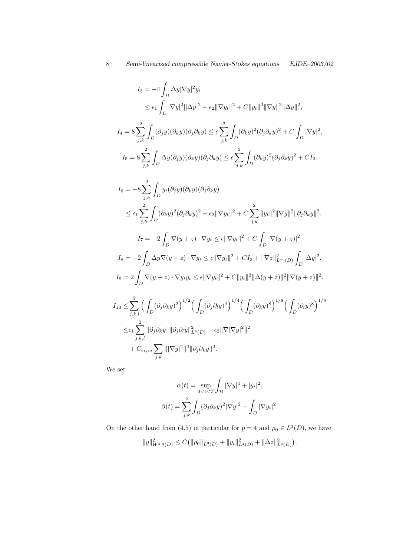$$
I_3 = -4 \int_D \Delta y |\nabla y|^2 y_t
$$
  
\n
$$
\leq \epsilon_1 \int_D |\nabla y|^2 ||\Delta y|^2 + \epsilon_2 ||\nabla y_t||^2 + C ||y_t||^2 ||\nabla y||^2 ||\Delta y||^2,
$$
  
\n
$$
I_4 = 8 \sum_{j,k}^2 \int_D (\partial_j y)(\partial_k y)(\partial_j \partial_k y) \leq \epsilon \sum_{j,k}^2 \int_D (\partial_k y)^2 (\partial_j \partial_k y)^2 + C \int_D |\nabla y|^2,
$$
  
\n
$$
I_5 = 8 \sum_{j,k}^2 \int_D \Delta y(\partial_j y)(\partial_k y)(\partial_j \partial_k y) \leq \epsilon \sum_{j,k}^2 \int_D (\partial_k y)^2 (\partial_j \partial_k y)^2 + CI_2.
$$
  
\n
$$
I_6 = -8 \sum_{j,k}^2 \int_D y_t (\partial_j y)(\partial_k y)(\partial_j \partial_k y)
$$
  
\n
$$
\leq \epsilon_1 \sum_{j,k}^2 \int_D (\partial_k y)^2 (\partial_j \partial_k y)^2 + \epsilon_2 ||\nabla y_t||^2 + C \sum_{j,k}^2 ||y_t||^2 ||\nabla y||^2 ||\partial_j \partial_k y||^2.
$$
  
\n
$$
I_7 = -2 \int_D \nabla (y+z) \cdot \nabla y_t \leq \epsilon ||\nabla y_t||^2 + C \int_D |\nabla (y+z)|^2.
$$
  
\n
$$
I_8 = -2 \int_D \Delta y \nabla (y+z) \cdot \nabla y_t \leq \epsilon ||\nabla y_t||^2 + CI_2 + ||\nabla z||_{L^{\infty}(D)}^2 \int_D |\Delta y|^2.
$$
  
\n
$$
I_9 = 2 \int_D \nabla (y+z) \cdot \nabla y_t y_t \leq \epsilon ||\nabla y_t||^2 + CI_1 ||y_t||^2 ||\Delta (y+z)||^2 ||\nabla (y+z)||^2.
$$
  
\n
$$
I_{10} \leq \sum_{j,k,l}^2 (\int_D (\partial_j \partial_k y)^2)^{1/2} (\int_D (\partial_j \partial_l y)^4)^{1/4} (\int_D (\partial_k y)^8)^{1/8} (\int_D (\partial_l y)^8)^{1/8}
$$
  
\n
$$
\leq \epsilon
$$

We set

$$
\alpha(t) = \sup_{0 < t < T} \int_D |\nabla y|^4 + |y_t|^2,
$$
\n
$$
\beta(t) = \sum_{j,k}^2 \int_D (\partial_j \partial_k y)^2 |\nabla y|^2 + \int_D |\nabla y_t|^2.
$$

On the other hand from (4.5) in particular for  $p = 4$  and  $\rho_0 \in L^3(D)$ , we have

$$
||y||_{W^{2,4}(D)}^2 \leq C(||\rho_0||_{L^3(D)} + ||y_t||_{L^4(D)}^2 + ||\Delta z||_{L^4(D)}^2).
$$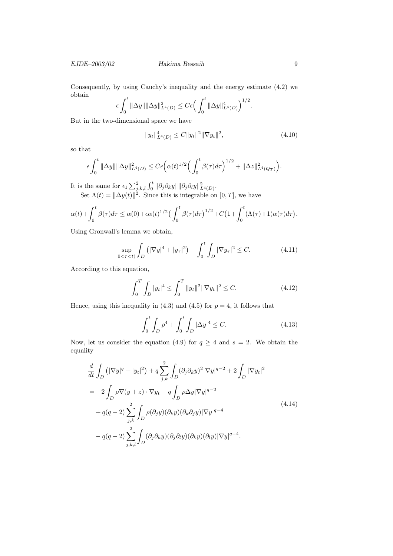Consequently, by using Cauchy's inequality and the energy estimate (4.2) we obtain

$$
\epsilon \int_0^t \|\Delta y\| \|\Delta y\|_{L^4(D)}^2 \le C \epsilon \Big(\int_0^t \|\Delta y\|_{L^4(D)}^4\Big)^{1/2}.
$$

But in the two-dimensional space we have

$$
||y_t||_{L^4(D)}^4 \le C||y_t||^2 ||\nabla y_t||^2, \tag{4.10}
$$

so that

$$
\epsilon \int_0^t \|\Delta y\| \|\Delta y\|_{L^4(D)}^2 \leq C \epsilon \Big( \alpha(t)^{1/2} \Big( \int_0^t \beta(\tau) d\tau \Big)^{1/2} + \|\Delta z\|_{L^4(Q_T)}^2 \Big).
$$

It is the same for  $\epsilon_1 \sum_{j,k,l}^2 \int_0^t ||\partial_j \partial_k y|| ||\partial_j \partial_l y||_{L^4(D)}^2$ .

Set  $\Lambda(t) = \|\Delta y(t)\|^2$ . Since this is integrable on [0, T], we have

$$
\alpha(t) + \int_0^t \beta(\tau) d\tau \le \alpha(0) + \epsilon \alpha(t)^{1/2} \left(\int_0^t \beta(\tau) d\tau\right)^{1/2} + C \left(1 + \int_0^t (\Lambda(\tau) + 1) \alpha(\tau) d\tau\right).
$$

Using Gronwall's lemma we obtain,

$$
\sup_{0 < \tau < t} \int_{D} \left( |\nabla y|^{4} + |y_{\tau}|^{2} \right) + \int_{0}^{t} \int_{D} |\nabla y_{\tau}|^{2} \le C. \tag{4.11}
$$

According to this equation,

$$
\int_0^T \int_D |y_t|^4 \le \int_0^T \|y_t\|^2 \|\nabla y_t\|^2 \le C. \tag{4.12}
$$

Hence, using this inequality in  $(4.3)$  and  $(4.5)$  for  $p = 4$ , it follows that

$$
\int_0^t \int_D \rho^4 + \int_0^t \int_D |\Delta y|^4 \le C. \tag{4.13}
$$

Now, let us consider the equation (4.9) for  $q \ge 4$  and  $s = 2$ . We obtain the equality

$$
\frac{d}{dt} \int_{D} \left( |\nabla y|^{q} + |y_{t}|^{2} \right) + q \sum_{j,k}^{2} \int_{D} (\partial_{j} \partial_{k} y)^{2} |\nabla y|^{q-2} + 2 \int_{D} |\nabla y_{t}|^{2}
$$
\n
$$
= -2 \int_{D} \rho \nabla (y+z) \cdot \nabla y_{t} + q \int_{D} \rho \Delta y |\nabla y|^{q-2}
$$
\n
$$
+ q(q-2) \sum_{j,k}^{2} \int_{D} \rho(\partial_{j} y)(\partial_{k} y)(\partial_{k} \partial_{j} y)|\nabla y|^{q-4}
$$
\n
$$
- q(q-2) \sum_{j,k,l}^{2} \int_{D} (\partial_{j} \partial_{k} y)(\partial_{j} \partial_{l} y)(\partial_{k} y)(\partial_{l} y)|\nabla y|^{q-4}.
$$
\n(4.14)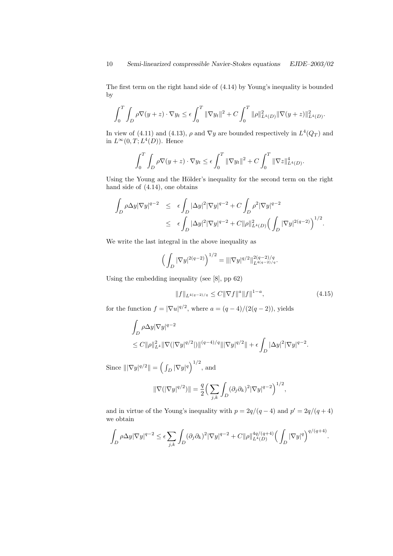The first term on the right hand side of (4.14) by Young's inequality is bounded by

$$
\int_0^T \int_D \rho \nabla(y+z) \cdot \nabla y_t \le \epsilon \int_0^T \|\nabla y_t\|^2 + C \int_0^T \|\rho\|_{L^4(D)}^2 \|\nabla(y+z)\|_{L^4(D)}^2.
$$

In view of (4.11) and (4.13),  $\rho$  and  $\nabla y$  are bounded respectively in  $L^4(Q_T)$  and in  $L^{\infty}(0,T;L^4(D))$ . Hence

$$
\int_0^T \int_D \rho \nabla(y+z) \cdot \nabla y_t \le \epsilon \int_0^T \|\nabla y_t\|^2 + C \int_0^T \|\nabla z\|_{L^4(D)}^4.
$$

Using the Young and the Hölder's inequality for the second term on the right hand side of (4.14), one obtains

$$
\int_{D} \rho \Delta y |\nabla y|^{q-2} \leq \epsilon \int_{D} |\Delta y|^2 |\nabla y|^{q-2} + C \int_{D} \rho^2 |\nabla y|^{q-2} \leq \epsilon \int_{D} |\Delta y|^2 |\nabla y|^{q-2} + C \|\rho\|_{L^4(D)}^2 \Big(\int_{D} |\nabla y|^{2(q-2)}\Big)^{1/2}.
$$

We write the last integral in the above inequality as

$$
\left(\int_D |\nabla y|^{2(q-2)}\right)^{1/2} = |||\nabla y|^{q/2}||_{L^{4(q-2)/q}}^{2(q-2)/q}.
$$

Using the embedding inequality (see [8], pp 62)

$$
||f||_{L^{4(q-2)/q}} \leq C||\nabla f||^{a}||f||^{1-a},\tag{4.15}
$$

for the function  $f = |\nabla u|^{q/2}$ , where  $a = (q-4)/(2(q-2))$ , yields

$$
\int_D \rho \Delta y |\nabla y|^{q-2}
$$
  
\n
$$
\leq C ||\rho||_{L^4}^2 ||\nabla (|\nabla y|^{q/2}|) ||^{(q-4)/q} |||\nabla y|^{q/2}|| + \epsilon \int_D |\Delta y|^2 |\nabla y|^{q-2}.
$$

Since  $\|\nabla y|^{q/2}\| = \left(\int_D |\nabla y|^q\right)^{1/2}$ , and

$$
\|\nabla(|\nabla y|^{q/2})\| = \frac{q}{2} \Big(\sum_{j,k} \int_D (\partial_j \partial_k)^2 |\nabla y|^{q-2}\Big)^{1/2},
$$

and in virtue of the Young's inequality with  $p = 2q/(q-4)$  and  $p' = 2q/(q+4)$ we obtain

$$
\int_D \rho \Delta y |\nabla y|^{q-2} \leq \epsilon \sum_{j,k} \int_D (\partial_j \partial_k)^2 |\nabla y|^{q-2} + C \|\rho\|_{L^4(D)}^{4q/(q+4)} \Big(\int_D |\nabla y|^q\Big)^{q/(q+4)}.
$$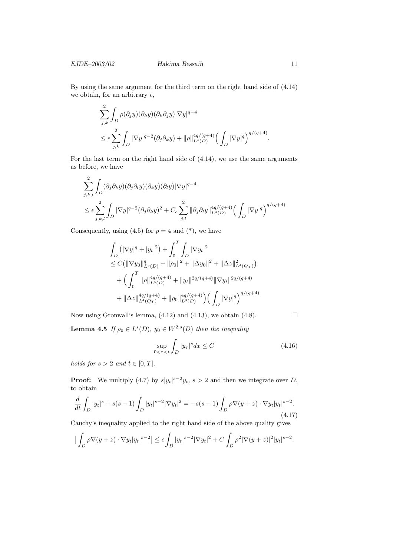EJDE–2003/02 Hakima Bessaih 11

By using the same argument for the third term on the right hand side of (4.14) we obtain, for an arbitrary  $\epsilon$ ,

$$
\sum_{j,k}^{2} \int_{D} \rho(\partial_j y)(\partial_k y)(\partial_k \partial_j y)|\nabla y|^{q-4} \n\leq \epsilon \sum_{j,k}^{2} \int_{D} |\nabla y|^{q-2} (\partial_j \partial_k y) + ||\rho||_{L^4(D)}^{4q/(q+4)} \Big(\int_{D} |\nabla y|^q\Big)^{q/(q+4)}.
$$

For the last term on the right hand side of (4.14), we use the same arguments as before, we have

$$
\sum_{j,k,l}^{2} \int_{D} (\partial_j \partial_k y)(\partial_j \partial_l y)(\partial_k y)(\partial_l y)|\nabla y|^{q-4}
$$
\n
$$
\leq \epsilon \sum_{j,k,l}^{2} \int_{D} |\nabla y|^{q-2} (\partial_j \partial_k y)^2 + C_{\epsilon} \sum_{j,l}^{2} ||\partial_j \partial_l y||_{L^4(D)}^{4q/(q+4)} \left(\int_{D} |\nabla y|^q\right)^{q/(q+4)}
$$

Consequently, using  $(4.5)$  for  $p = 4$  and  $(*)$ , we have

$$
\int_{D} \left( |\nabla y|^{q} + |y_{t}|^{2} \right) + \int_{0}^{T} \int_{D} |\nabla y_{t}|^{2} \n\leq C \left( ||\nabla y_{0}||_{L^{q}(D)}^{q} + ||\rho_{0}||^{2} + ||\Delta y_{0}||^{2} + ||\Delta z||_{L^{4}(Q_{T})}^{2} \right) \n+ \left( \int_{0}^{T} ||\rho||_{L^{4}(D)}^{4q/(q+4)} + ||y_{t}||^{2q/(q+4)} ||\nabla y_{t}||^{2q/(q+4)} \right) \n+ ||\Delta z||_{L^{4}(Q_{T})}^{4q/(q+4)} + ||\rho_{0}||_{L^{3}(D)}^{4q/(q+4)} \left( \int_{D} |\nabla y|^{q} \right)^{q/(q+4)}
$$

Now using Gronwall's lemma,  $(4.12)$  and  $(4.13)$ , we obtain  $(4.8)$ .

**Lemma 4.5** If  $\rho_0 \in L^s(D)$ ,  $y_0 \in W^{2,s}(D)$  then the inequality

$$
\sup_{0 < \tau < t} \int_{D} |y_{\tau}|^{s} dx \le C \tag{4.16}
$$

holds for  $s > 2$  and  $t \in [0, T]$ .

**Proof:** We multiply (4.7) by  $s|y_t|^{s-2}y_t$ ,  $s > 2$  and then we integrate over D, to obtain

$$
\frac{d}{dt} \int_{D} |y_t|^s + s(s-1) \int_{D} |y_t|^{s-2} |\nabla y_t|^2 = -s(s-1) \int_{D} \rho \nabla(y+z) \cdot \nabla y_t |y_t|^{s-2}.
$$
\n(4.17)

Cauchy's inequality applied to the right hand side of the above quality gives

$$
\left|\int_D \rho \nabla(y+z) \cdot \nabla y_t |y_t|^{s-2}\right| \leq \epsilon \int_D |y_t|^{s-2} |\nabla y_t|^2 + C \int_D \rho^2 |\nabla(y+z)|^2 |y_t|^{s-2}.
$$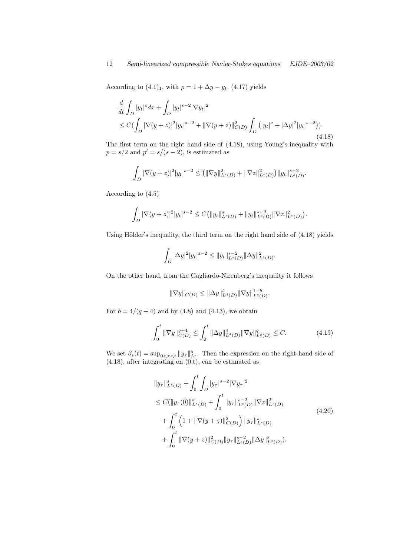According to  $(4.1)_1$ , with  $\rho = 1 + \Delta y - y_t$ ,  $(4.17)$  yields

$$
\frac{d}{dt} \int_{D} |y_t|^s dx + \int_{D} |y_t|^{s-2} |\nabla y_t|^2
$$
\n
$$
\leq C \big( \int_{D} |\nabla (y+z)|^2 |y_t|^{s-2} + ||\nabla (y+z)||^2_{C(D)} \int_{D} (|y_t|^s + |\Delta y|^2 |y_t|^{s-2}) \big). \tag{4.18}
$$

The first term on the right hand side of (4.18), using Young's inequality with  $p = s/2$  and  $p' = s/(s-2)$ , is estimated as

$$
\int_D |\nabla (y+z)|^2 |y_t|^{s-2} \le (||\nabla y||^2_{L^s(D)} + ||\nabla z||^2_{L^s(D)}) ||y_t||^{s-2}_{L^s(D)}.
$$

According to (4.5)

$$
\int_D |\nabla(y+z)|^2 |y_t|^{s-2} \leq C \big( \|y_t\|_{L^s(D)}^s + \|y_t\|_{L^s(D)}^{s-2} \|\nabla z\|_{L^s(D)}^2 \big).
$$

Using Hölder's inequality, the third term on the right hand side of  $(4.18)$  yields

$$
\int_D |\Delta y|^2 |y_t|^{s-2} \leq \|y_t\|_{L^s(D)}^{s-2} \|\Delta y\|_{L^s(D)}^2.
$$

On the other hand, from the Gagliardo-Nirenberg's inequality it follows

$$
\|\nabla y\|_{C(D)} \le \|\Delta y\|_{L^4(D)}^b \|\nabla y\|_{L^q(D)}^{1-b}.
$$

For  $b = 4/(q + 4)$  and by (4.8) and (4.13), we obtain

$$
\int_0^t \|\nabla y\|_{C(D)}^{q+4} \le \int_0^t \|\Delta y\|_{L^4(D)}^4 \|\nabla y\|_{L^q(D)}^q \le C. \tag{4.19}
$$

We set  $\beta_s(t) = \sup_{0 \le \tau \le t} ||y_\tau||_{L^s}^s$ . Then the expression on the right-hand side of  $(4.18)$ , after integrating on  $(0,t)$ , can be estimated as

$$
||y_{\tau}||_{L^{s}(D)}^{s} + \int_{0}^{t} \int_{D} |y_{\tau}|^{s-2} |\nabla y_{\tau}|^{2}
$$
  
\n
$$
\leq C(||y_{\tau}(0)||_{L^{s}(D)}^{s} + \int_{0}^{t} ||y_{\tau}||_{L^{s}(D)}^{s-2} ||\nabla z||_{L^{s}(D)}^{2}
$$
  
\n
$$
+ \int_{0}^{t} \left(1 + ||\nabla(y+z)||_{C(D)}^{2}\right) ||y_{\tau}||_{L^{s}(D)}^{s}
$$
  
\n
$$
+ \int_{0}^{t} ||\nabla(y+z)||_{C(D)}^{2} ||y_{\tau}||_{L^{s}(D)}^{s-2} ||\Delta y||_{L^{s}(D)}^{s}.
$$
\n(4.20)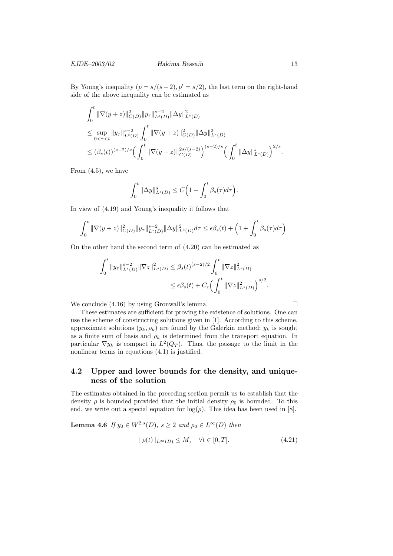By Young's inequality  $(p = s/(s-2), p' = s/2)$ , the last term on the right-hand side of the above inequality can be estimated as

$$
\begin{split} & \int_0^t \|\nabla(y+z)\|_{C(D)}^2 \|y_\tau\|_{L^s(D)}^{s-2} \|\Delta y\|_{L^s(D)}^2 \\ & \leq \sup_{0<\tau
$$

From (4.5), we have

$$
\int_0^t \|\Delta y\|_{L^s(D)}^s \leq C\Big(1+\int_0^t \beta_s(\tau)d\tau\Big).
$$

In view of (4.19) and Young's inequality it follows that

$$
\int_0^t \|\nabla(y+z)\|_{C(D)}^2 \|y_\tau\|_{L^s(D)}^{s-2} \|\Delta y\|_{L^s(D)}^2 d\tau \leq \epsilon \beta_s(t) + \left(1 + \int_0^t \beta_s(\tau) d\tau\right).
$$

On the other hand the second term of (4.20) can be estimated as

$$
\int_0^t \|y_\tau\|_{L^s(D)}^{s-2} \|\nabla z\|_{L^s(D)}^2 \leq \beta_s(t)^{(s-2)/2} \int_0^t \|\nabla z\|_{L^s(D)}^2
$$
  

$$
\leq \epsilon \beta_s(t) + C_{\epsilon} \Big(\int_0^t \|\nabla z\|_{L^s(D)}^2\Big)^{s/2}.
$$

We conclude  $(4.16)$  by using Gronwall's lemma.

These estimates are sufficient for proving the existence of solutions. One can use the scheme of constructing solutions given in [1]. According to this scheme, approximate solutions  $(y_k, \rho_k)$  are found by the Galerkin method;  $y_k$  is sought as a finite sum of basis and  $\rho_k$  is determined from the transport equation. In particular  $\nabla y_k$  is compact in  $L^2(Q_T)$ . Thus, the passage to the limit in the nonlinear terms in equations  $(4.1)$  is justified.

## 4.2 Upper and lower bounds for the density, and uniqueness of the solution

The estimates obtained in the preceding section permit us to establish that the density  $\rho$  is bounded provided that the initial density  $\rho_0$  is bounded. To this end, we write out a special equation for  $log(\rho)$ . This idea has been used in [8].

**Lemma 4.6** If  $y_0 \in W^{2,s}(D)$ ,  $s \geq 2$  and  $\rho_0 \in L^{\infty}(D)$  then

$$
\|\rho(t)\|_{L^{\infty}(D)} \le M, \quad \forall t \in [0, T]. \tag{4.21}
$$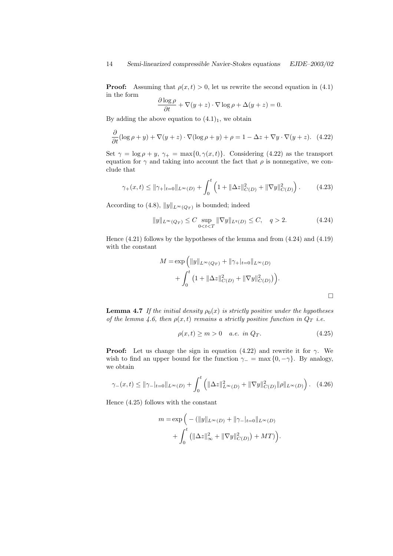**Proof:** Assuming that  $\rho(x, t) > 0$ , let us rewrite the second equation in (4.1) in the form

$$
\frac{\partial \log \rho}{\partial t} + \nabla(y+z) \cdot \nabla \log \rho + \Delta(y+z) = 0.
$$

By adding the above equation to  $(4.1)<sub>1</sub>$ , we obtain

$$
\frac{\partial}{\partial t}(\log \rho + y) + \nabla(y + z) \cdot \nabla(\log \rho + y) + \rho = 1 - \Delta z + \nabla y \cdot \nabla(y + z). \tag{4.22}
$$

Set  $\gamma = \log \rho + y$ ,  $\gamma_+ = \max\{0, \gamma(x, t)\}\$ . Considering (4.22) as the transport equation for  $\gamma$  and taking into account the fact that  $\rho$  is nonnegative, we conclude that

$$
\gamma_+(x,t) \le \|\gamma_+\|_{t=0}\|_{L^\infty(D)} + \int_0^t \left(1 + \|\Delta z\|_{C(D)}^2 + \|\nabla y\|_{C(D)}^2\right). \tag{4.23}
$$

According to (4.8),  $||y||_{L^{\infty}(Q_T)}$  is bounded; indeed

$$
||y||_{L^{\infty}(Q_T)} \leq C \sup_{0 < t < T} ||\nabla y||_{L^q(D)} \leq C, \quad q > 2. \tag{4.24}
$$

Hence (4.21) follows by the hypotheses of the lemma and from (4.24) and (4.19) with the constant

$$
M = \exp\left(\|y\|_{L^{\infty}(Q_T)} + \|\gamma_+\|_{t=0}\|_{L^{\infty}(D)}\right) + \int_0^t \left(1 + \|\Delta z\|_{C(D)}^2 + \|\nabla y\|_{C(D)}^2\right).
$$

**Lemma 4.7** If the initial density  $\rho_0(x)$  is strictly positive under the hypotheses of the lemma 4.6, then  $\rho(x,t)$  remains a strictly positive function in  $Q_T$  i.e.

$$
\rho(x,t) \ge m > 0 \quad a.e. \in \Omega_T. \tag{4.25}
$$

**Proof:** Let us change the sign in equation (4.22) and rewrite it for  $\gamma$ . We wish to find an upper bound for the function  $\gamma_-=\max\{0,-\gamma\}$ . By analogy, we obtain

$$
\gamma_{-}(x,t) \le \|\gamma_{-}|_{t=0}\|_{L^{\infty}(D)} + \int_{0}^{t} \left( \|\Delta z\|_{L^{\infty}(D)}^{2} + \|\nabla y\|_{C(D)}^{2} \|\rho\|_{L^{\infty}(D)} \right). \tag{4.26}
$$

Hence (4.25) follows with the constant

$$
m = \exp\left(-\left(\|y\|_{L^{\infty}(D)} + \|\gamma_{-}|_{t=0}\|_{L^{\infty}(D)}\right) + \int_{0}^{t} \left(\|\Delta z\|_{\infty}^{2} + \|\nabla y\|_{C(D)}^{2}\right) + MT\right).
$$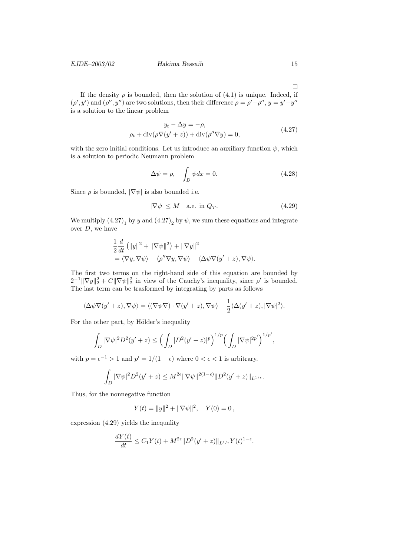#### EJDE–2003/02 Hakima Bessaih 15

If the density  $\rho$  is bounded, then the solution of (4.1) is unique. Indeed, if  $(\rho', y')$  and  $(\rho'', y'')$  are two solutions, then their difference  $\rho = \rho' - \rho'', y = y' - y''$ is a solution to the linear problem

$$
y_t - \Delta y = -\rho,
$$
  
\n
$$
\rho_t + \operatorname{div}(\rho \nabla (y' + z)) + \operatorname{div}(\rho'' \nabla y) = 0,
$$
\n(4.27)

with the zero initial conditions. Let us introduce an auxiliary function  $\psi$ , which is a solution to periodic Neumann problem

$$
\Delta \psi = \rho, \quad \int_{D} \psi dx = 0. \tag{4.28}
$$

Since  $\rho$  is bounded,  $|\nabla \psi|$  is also bounded i.e.

$$
|\nabla \psi| \le M \quad \text{a.e. in } Q_T. \tag{4.29}
$$

We multiply  $(4.27)$ <sub>1</sub> by y and  $(4.27)$ <sub>2</sub> by  $\psi$ , we sum these equations and integrate over  $D$ , we have

$$
\frac{1}{2}\frac{d}{dt}(\|y\|^2 + \|\nabla\psi\|^2) + \|\nabla y\|^2
$$
  
=  $\langle \nabla y, \nabla \psi \rangle - \langle \rho'' \nabla y, \nabla \psi \rangle - \langle \Delta \psi \nabla (y' + z), \nabla \psi \rangle.$ 

The first two terms on the right-hand side of this equation are bounded by  $2^{-1} \|\nabla y\|_2^2 + C \|\nabla \psi\|_2^2$  in view of the Cauchy's inequality, since  $\rho'$  is bounded. The last term can be trasformed by integrating by parts as follows

$$
\langle \Delta \psi \nabla (y'+z), \nabla \psi \rangle = \langle (\nabla \psi \nabla) \cdot \nabla (y'+z), \nabla \psi \rangle - \frac{1}{2} \langle \Delta (y'+z), |\nabla \psi|^2 \rangle.
$$

For the other part, by Hölder's inequality

$$
\int_{D} |\nabla \psi|^2 D^2 (y'+z) \leq \Big(\int_{D} |D^2 (y'+z)|^p\Big)^{1/p} \Big(\int_{D} |\nabla \psi|^{2p'}\Big)^{1/p'},
$$

with  $p = \epsilon^{-1} > 1$  and  $p' = 1/(1 - \epsilon)$  where  $0 < \epsilon < 1$  is arbitrary.

$$
\int_D |\nabla \psi|^2 D^2(y'+z) \le M^{2\epsilon} \|\nabla \psi\|^{2(1-\epsilon)} \|D^2(y'+z)\|_{L^{1/\epsilon}}.
$$

Thus, for the nonnegative function

$$
Y(t) = ||y||^2 + ||\nabla \psi||^2, \quad Y(0) = 0,
$$

expression (4.29) yields the inequality

$$
\frac{dY(t)}{dt} \le C_1 Y(t) + M^{2\epsilon} ||D^2(y'+z)||_{L^{1/\epsilon}} Y(t)^{1-\epsilon}.
$$

 $\Box$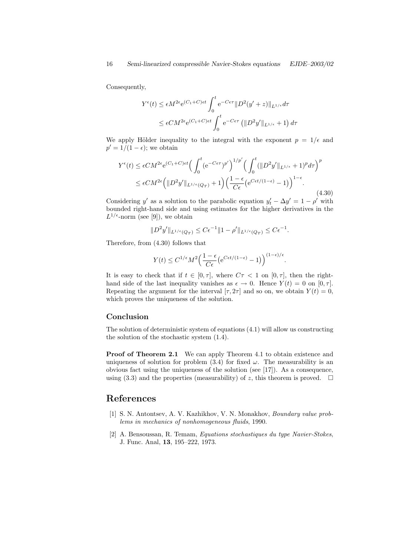Consequently,

$$
Y^{\epsilon}(t) \leq \epsilon M^{2\epsilon} e^{(C_1+C)\epsilon t} \int_0^t e^{-C\epsilon\tau} ||D^2(y'+z)||_{L^{1/\epsilon}} d\tau
$$
  

$$
\leq \epsilon CM^{2\epsilon} e^{(C_1+C)\epsilon t} \int_0^t e^{-C\epsilon\tau} (||D^2y'||_{L^{1/\epsilon}} + 1) d\tau
$$

We apply Hölder inequality to the integral with the exponent  $p = 1/\epsilon$  and  $p' = 1/(1 - \epsilon)$ ; we obtain

$$
Y^{\epsilon}(t) \leq \epsilon CM^{2\epsilon} e^{(C_1+C)\epsilon t} \Big( \int_0^t (e^{-C\epsilon\tau})^{p'} \Big)^{1/p'} \Big( \int_0^t (\|D^2y'\|_{L^{1/\epsilon}} + 1)^p d\tau \Big)^p
$$
  

$$
\leq \epsilon CM^{2\epsilon} \Big( \|D^2y'\|_{L^{1/\epsilon}(Q_T)} + 1 \Big) \Big( \frac{1-\epsilon}{C\epsilon} \big( e^{C\epsilon t/(1-\epsilon)} - 1 \big) \Big)^{1-\epsilon}.
$$
 (4.30)

Considering y' as a solution to the parabolic equation  $y'_t - \Delta y' = 1 - \rho'$  with bounded right-hand side and using estimates for the higher derivatives in the  $L^{1/\epsilon}$ -norm (see [9]), we obtain

$$
||D^2y'||_{L^{1/\epsilon}(Q_T)} \leq C\epsilon^{-1}||1-\rho'||_{L^{1/\epsilon}(Q_T)} \leq C\epsilon^{-1}.
$$

Therefore, from (4.30) follows that

$$
Y(t) \leq C^{1/\epsilon} M^2 \Big( \frac{1-\epsilon}{C \epsilon} \big( \mathrm{e}^{C \epsilon t/(1-\epsilon)} - 1 \big) \Big)^{(1-\epsilon)/\epsilon}.
$$

It is easy to check that if  $t \in [0, \tau]$ , where  $C\tau < 1$  on  $[0, \tau]$ , then the righthand side of the last inequality vanishes as  $\epsilon \to 0$ . Hence  $Y(t) = 0$  on  $[0, \tau]$ . Repeating the argument for the interval  $[\tau, 2\tau]$  and so on, we obtain  $Y(t) = 0$ , which proves the uniqueness of the solution.

#### Conclusion

The solution of deterministic system of equations (4.1) will allow us constructing the solution of the stochastic system (1.4).

Proof of Theorem 2.1 We can apply Theorem 4.1 to obtain existence and uniqueness of solution for problem (3.4) for fixed  $\omega$ . The measurability is an obvious fact using the uniqueness of the solution (see [17]). As a consequence, using (3.3) and the properties (measurability) of z, this theorem is proved.  $\Box$ 

# References

- [1] S. N. Antontsev, A. V. Kazhikhov, V. N. Monakhov, Boundary value problems in mechanics of nonhomogeneous fluids, 1990.
- [2] A. Bensoussan, R. Temam, Equations stochastiques du type Navier-Stokes, J. Func. Anal, 13, 195–222, 1973.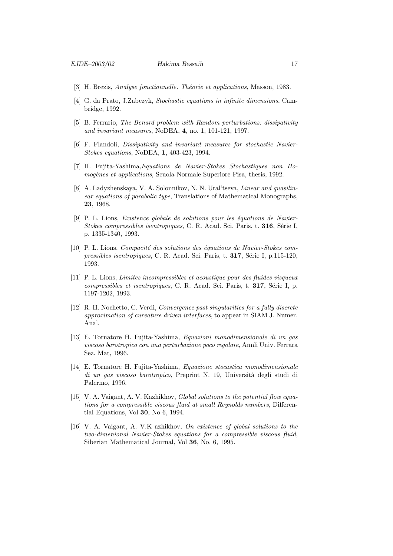- [3] H. Brezis, *Analyse fonctionnelle. Théorie et applications*, Masson, 1983.
- [4] G. da Prato, J.Zabczyk, Stochastic equations in infinite dimensions, Cambridge, 1992.
- [5] B. Ferrario, The Benard problem with Random perturbations: dissipativity and invariant measures, NoDEA, 4, no. 1, 101-121, 1997.
- [6] F. Flandoli, Dissipativity and invariant measures for stochastic Navier-Stokes equations, NoDEA, 1, 403-423, 1994.
- [7] H. Fujita-Yashima,Equations de Navier-Stokes Stochastiques non Homogènes et applications, Scuola Normale Superiore Pisa, thesis, 1992.
- [8] A. Ladyzhenskaya, V. A. Solonnikov, N. N. Ural'tseva, Linear and quasilinear equations of parabolic type, Translations of Mathematical Monographs, 23, 1968.
- $[9]$  P. L. Lions, *Existence globale de solutions pour les équations de Navier-*Stokes compressibles isentropiques, C. R. Acad. Sci. Paris, t. 316, Série I, p. 1335-1340, 1993.
- [10] P. L. Lions, Compacité des solutions des équations de Navier-Stokes compressibles isentropiques, C. R. Acad. Sci. Paris, t. 317, Série I, p.115-120, 1993.
- [11] P. L. Lions, Limites incompressibles et acoustique pour des fluides visqueux compressibles et isentropiques, C. R. Acad. Sci. Paris, t. 317, Série I, p. 1197-1202, 1993.
- [12] R. H. Nochetto, C. Verdi, Convergence past singularities for a fully discrete approximation of curvature driven interfaces, to appear in SIAM J. Numer. Anal.
- [13] E. Tornatore H. Fujita-Yashima, Equazioni monodimensionale di un gas viscoso barotropico con una perturbazione poco regolare, Annli Univ. Ferrara Sez. Mat, 1996.
- [14] E. Tornatore H. Fujita-Yashima, Equazione stocastica monodimensionale di un gas viscoso barotropico, Preprint N. 19, Università degli studi di Palermo, 1996.
- [15] V. A. Vaigant, A. V. Kazhikhov, Global solutions to the potential flow equations for a compressible viscous fluid at small Reynolds numbers, Differential Equations, Vol 30, No 6, 1994.
- [16] V. A. Vaigant, A. V.K azhikhov, On existence of global solutions to the two-dimenional Navier-Stokes equations for a compressible viscous fluid, Siberian Mathematical Journal, Vol 36, No. 6, 1995.